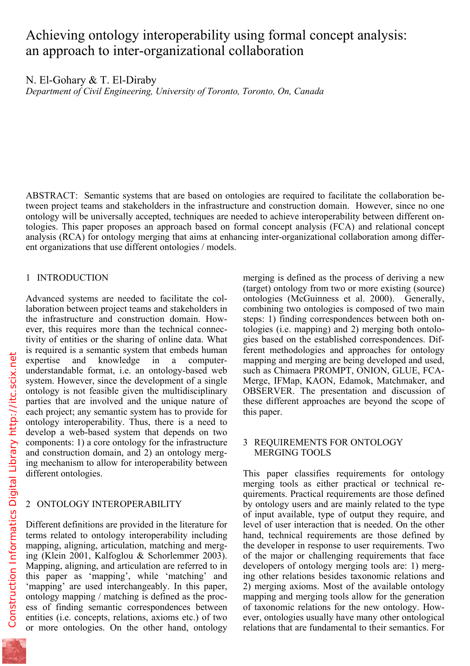# Achieving ontology interoperability using formal concept analysis: an approach to inter-organizational collaboration

N. El-Gohary & T. El-Diraby

*Department of Civil Engineering, University of Toronto, Toronto, On, Canada* 

ABSTRACT: Semantic systems that are based on ontologies are required to facilitate the collaboration between project teams and stakeholders in the infrastructure and construction domain. However, since no one ontology will be universally accepted, techniques are needed to achieve interoperability between different ontologies. This paper proposes an approach based on formal concept analysis (FCA) and relational concept analysis (RCA) for ontology merging that aims at enhancing inter-organizational collaboration among different organizations that use different ontologies / models.

## 1 INTRODUCTION

Advanced systems are needed to facilitate the collaboration between project teams and stakeholders in the infrastructure and construction domain. However, this requires more than the technical connectivity of entities or the sharing of online data. What is required is a semantic system that embeds human expertise and knowledge in a computerunderstandable format, i.e. an ontology-based web system. However, since the development of a single ontology is not feasible given the multidisciplinary parties that are involved and the unique nature of each project; any semantic system has to provide for ontology interoperability. Thus, there is a need to develop a web-based system that depends on two components: 1) a core ontology for the infrastructure and construction domain, and 2) an ontology merging mechanism to allow for interoperability between different ontologies.

# 2 ONTOLOGY INTEROPERABILITY

Different definitions are provided in the literature for terms related to ontology interoperability including mapping, aligning, articulation, matching and merging (Klein 2001, Kalfoglou & Schorlemmer 2003). Mapping, aligning, and articulation are referred to in this paper as 'mapping', while 'matching' and 'mapping' are used interchangeably. In this paper, ontology mapping / matching is defined as the process of finding semantic correspondences between entities (i.e. concepts, relations, axioms etc.) of two or more ontologies. On the other hand, ontology

merging is defined as the process of deriving a new (target) ontology from two or more existing (source) ontologies (McGuinness et al. 2000). Generally, combining two ontologies is composed of two main steps: 1) finding correspondences between both ontologies (i.e. mapping) and 2) merging both ontologies based on the established correspondences. Different methodologies and approaches for ontology mapping and merging are being developed and used, such as Chimaera PROMPT, ONION, GLUE, FCA-Merge, IFMap, KAON, Edamok, Matchmaker, and OBSERVER. The presentation and discussion of these different approaches are beyond the scope of this paper.

## 3 REQUIREMENTS FOR ONTOLOGY MERGING TOOLS

This paper classifies requirements for ontology merging tools as either practical or technical requirements. Practical requirements are those defined by ontology users and are mainly related to the type of input available, type of output they require, and level of user interaction that is needed. On the other hand, technical requirements are those defined by the developer in response to user requirements. Two of the major or challenging requirements that face developers of ontology merging tools are: 1) merging other relations besides taxonomic relations and 2) merging axioms. Most of the available ontology mapping and merging tools allow for the generation of taxonomic relations for the new ontology. However, ontologies usually have many other ontological relations that are fundamental to their semantics. For

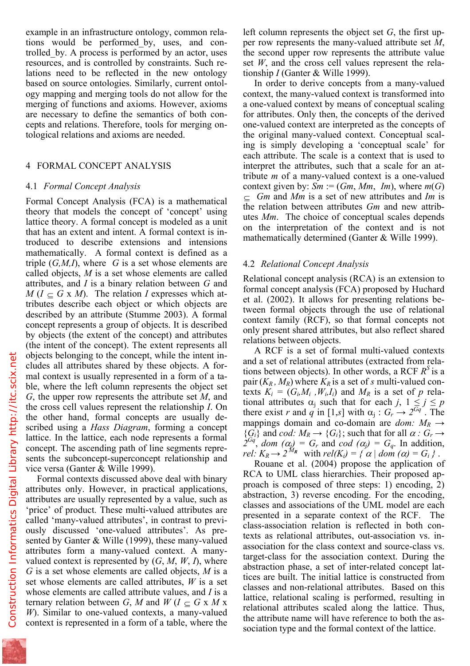tions would be performed\_by, uses, and controlled\_by. A process is performed by an actor, uses resources, and is controlled by constraints. Such relations need to be reflected in the new ontology based on source ontologies. Similarly, current ontology mapping and merging tools do not allow for the merging of functions and axioms. However, axioms are necessary to define the semantics of both concepts and relations. Therefore, tools for merging ontological relations and axioms are needed.

## 4 FORMAL CONCEPT ANALYSIS

#### 4.1 *Formal Concept Analysis*

Formal Concept Analysis (FCA) is a mathematical theory that models the concept of 'concept' using lattice theory. A formal concept is modeled as a unit that has an extent and intent. A formal context is introduced to describe extensions and intensions mathematically. A formal context is defined as a triple (*G,M,I*), where *G* is a set whose elements are called objects, *M* is a set whose elements are called attributes, and *I* is a binary relation between *G* and  $M (I \subseteq G \times M)$ . The relation *I* expresses which attributes describe each object or which objects are described by an attribute (Stumme 2003). A formal concept represents a group of objects. It is described by objects (the extent of the concept) and attributes (the intent of the concept). The extent represents all objects belonging to the concept, while the intent includes all attributes shared by these objects. A formal context is usually represented in a form of a table, where the left column represents the object set *G*, the upper row represents the attribute set *M*, and the cross cell values represent the relationship *I*. On the other hand, formal concepts are usually described using a *Hass Diagram*, forming a concept lattice. In the lattice, each node represents a formal concept. The ascending path of line segments represents the subconcept-superconcept relationship and vice versa (Ganter & Wille 1999).

Formal contexts discussed above deal with binary attributes only. However, in practical applications, attributes are usually represented by a value, such as 'price' of product. These multi-valued attributes are called 'many-valued attributes', in contrast to previously discussed 'one-valued attributes'. As presented by Ganter & Wille (1999), these many-valued attributes form a many-valued context. A manyvalued context is represented by  $(G, M, W, I)$ , where *G* is a set whose elements are called objects, *M* is a set whose elements are called attributes, *W* is a set whose elements are called attribute values, and *I* is a ternary relation between *G*, *M* and *W* ( $I \subseteq G \times M \times$ *W*). Similar to one-valued contexts, a many-valued context is represented in a form of a table, where the

per row represents the many-valued attribute set *M*, the second upper row represents the attribute value set *W*, and the cross cell values represent the relationship *I* (Ganter & Wille 1999).

In order to derive concepts from a many-valued context, the many-valued context is transformed into a one-valued context by means of conceptual scaling for attributes. Only then, the concepts of the derived one-valued context are interpreted as the concepts of the original many-valued context. Conceptual scaling is simply developing a 'conceptual scale' for each attribute. The scale is a context that is used to interpret the attributes, such that a scale for an attribute *m* of a many-valued context is a one-valued context given by:  $Sm := (Gm, Mm, Im)$ , where  $m(G)$ ⊆ *Gm* and *Mm* is a set of new attributes and *Im* is the relation between attributes *Gm* and new attributes *Mm*. The choice of conceptual scales depends on the interpretation of the context and is not mathematically determined (Ganter & Wille 1999).

### 4.2 *Relational Concept Analysis*

Relational concept analysis (RCA) is an extension to formal concept analysis (FCA) proposed by Huchard et al. (2002). It allows for presenting relations between formal objects through the use of relational context family (RCF), so that formal concepts not only present shared attributes, but also reflect shared relations between objects.

A RCF is a set of formal multi-valued contexts and a set of relational attributes (extracted from relations between objects). In other words, a RCF  $R^3$  is a pair  $(K_R, M_R)$  where  $K_R$  is a set of *s* multi-valued contexts  $K_i = (G_i, M_i, W_i, I_i)$  and  $M_R$  is a set of p relational attributes  $\alpha_j$  such that for each *j*,  $1 \leq j \leq p$ there exist *r* and *q* in [1,*s*] with  $\alpha_i$  :  $G_r \rightarrow 2^{\overline{Gq}}$ . The mappings domain and co-domain are *dom:*  $M_R \rightarrow$  ${G_i}$  and *cod:*  $M_R \rightarrow {G_i}$ ; such that for all  $\alpha : G_r \rightarrow$  $\hat{Z}^{Gq'}$ , *dom*  $(\alpha_j) = G_r$  and  $\hat{c}od(\alpha_j) = G_q$ . In addition, *rel:*  $K_R \rightarrow 2^{M_R}$  with  $rel(K_i) = \{ \alpha \mid dom(\alpha) = G_i \}$ .

Rouane et al. (2004) propose the application of RCA to UML class hierarchies. Their proposed approach is composed of three steps: 1) encoding, 2) abstraction, 3) reverse encoding. For the encoding, classes and associations of the UML model are each presented in a separate context of the RCF. The class-association relation is reflected in both contexts as relational attributes, out-association vs. inassociation for the class context and source-class vs. target-class for the association context. During the abstraction phase, a set of inter-related concept lattices are built. The initial lattice is constructed from classes and non-relational attributes. Based on this lattice, relational scaling is performed, resulting in relational attributes scaled along the lattice. Thus, the attribute name will have reference to both the association type and the formal context of the lattice.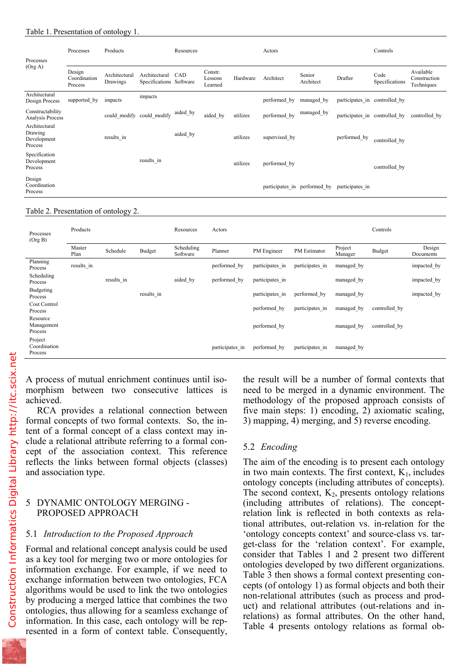| Processes<br>(Org A)                               | Processes                         | Products                  |                                          | Resources |                               |          | Actors                       |                     |                               | Controls               |                                         |
|----------------------------------------------------|-----------------------------------|---------------------------|------------------------------------------|-----------|-------------------------------|----------|------------------------------|---------------------|-------------------------------|------------------------|-----------------------------------------|
|                                                    | Design<br>Coordination<br>Process | Architectural<br>Drawings | Architectural<br>Specifications Software | CAD       | Constr.<br>Lessons<br>Learned | Hardware | Architect                    | Senior<br>Architect | Drafter                       | Code<br>Specifications | Available<br>Construction<br>Techniques |
| Architectural<br>Design Process                    | supported by                      | impacts                   | impacts                                  |           |                               |          | performed by                 | managed by          | participates in controlled by |                        |                                         |
| Constructability<br>Analysis Process               |                                   | could modify              | could modify                             | aided_by  | aided by                      | utilizes | performed by                 | managed_by          | participates in controlled by |                        | controlled by                           |
| Architectural<br>Drawing<br>Development<br>Process |                                   | results in                |                                          | aided by  |                               | utilizes | supervised by                |                     | performed_by                  | controlled by          |                                         |
| Specification<br>Development<br>Process            |                                   |                           | results in                               |           |                               | utilizes | performed by                 |                     |                               | controlled by          |                                         |
| Design<br>Coordination<br>Process                  |                                   |                           |                                          |           |                               |          | participates in performed by |                     | participates in               |                        |                                         |

#### Table 2. Presentation of ontology 2.

| Processes<br>(Org B)               | Products       |            |               | Resources              | Actors          |                 |                 |                    | Controls      |                     |
|------------------------------------|----------------|------------|---------------|------------------------|-----------------|-----------------|-----------------|--------------------|---------------|---------------------|
|                                    | Master<br>Plan | Schedule   | <b>Budget</b> | Scheduling<br>Software | Planner         | PM Engineer     | PM Estimator    | Project<br>Manager | <b>Budget</b> | Design<br>Documents |
| Planning<br>Process                | results in     |            |               |                        | performed by    | participates in | participates in | managed by         |               | impacted by         |
| Scheduling<br>Process              |                | results in |               | aided by               | performed by    | participates in |                 | managed by         |               | impacted by         |
| Budgeting<br>Process               |                |            | results in    |                        |                 | participates in | performed by    | managed by         |               | impacted by         |
| Cost Control<br>Process            |                |            |               |                        |                 | performed by    | participates in | managed by         | controlled by |                     |
| Resource<br>Management<br>Process  |                |            |               |                        |                 | performed by    |                 | managed by         | controlled by |                     |
| Project<br>Coordination<br>Process |                |            |               |                        | participates in | performed by    | participates in | managed by         |               |                     |

A process of mutual enrichment continues until isomorphism between two consecutive lattices is achieved.

RCA provides a relational connection between formal concepts of two formal contexts. So, the intent of a formal concept of a class context may include a relational attribute referring to a formal concept of the association context. This reference reflects the links between formal objects (classes) and association type.

## 5 DYNAMIC ONTOLOGY MERGING - PROPOSED APPROACH

## 5.1 *Introduction to the Proposed Approach*

Formal and relational concept analysis could be used as a key tool for merging two or more ontologies for information exchange. For example, if we need to exchange information between two ontologies, FCA algorithms would be used to link the two ontologies by producing a merged lattice that combines the two ontologies, thus allowing for a seamless exchange of information. In this case, each ontology will be represented in a form of context table. Consequently,

the result will be a number of formal contexts that need to be merged in a dynamic environment. The methodology of the proposed approach consists of five main steps: 1) encoding, 2) axiomatic scaling, 3) mapping, 4) merging, and 5) reverse encoding.

# 5.2 *Encoding*

The aim of the encoding is to present each ontology in two main contexts. The first context,  $K_1$ , includes ontology concepts (including attributes of concepts). The second context,  $K_2$ , presents ontology relations (including attributes of relations). The conceptrelation link is reflected in both contexts as relational attributes, out-relation vs. in-relation for the 'ontology concepts context' and source-class vs. target-class for the 'relation context'. For example, consider that Tables 1 and 2 present two different ontologies developed by two different organizations. Table 3 then shows a formal context presenting concepts (of ontology 1) as formal objects and both their non-relational attributes (such as process and product) and relational attributes (out-relations and inrelations) as formal attributes. On the other hand, Table 4 presents ontology relations as formal ob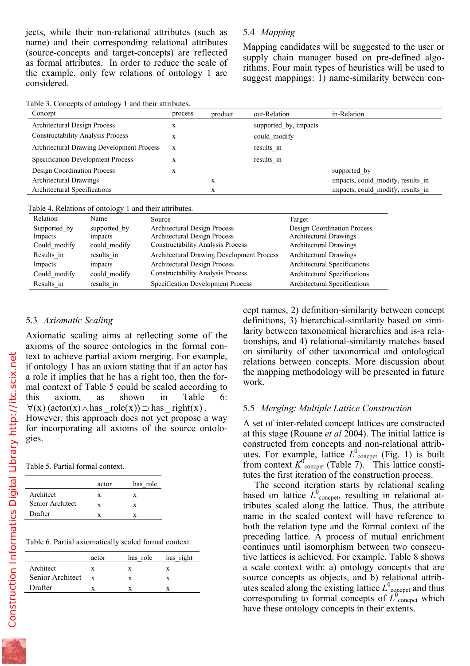name) and their corresponding relational attributes (source-concepts and target-concepts) are reflected as formal attributes. In order to reduce the scale of the example, only few relations of ontology 1 are considered.

Mapping candidates will be suggested to the user or supply chain manager based on pre-defined algorithms. Four main types of heuristics will be used to suggest mappings: 1) name-similarity between con-

Table 3. Concepts of ontology 1 and their attributes.

| Concept                                          | process | product | out-Relation          | in-Relation                       |
|--------------------------------------------------|---------|---------|-----------------------|-----------------------------------|
| Architectural Design Process                     | X       |         | supported by, impacts |                                   |
| <b>Constructability Analysis Process</b>         | X       |         | could modify          |                                   |
| <b>Architectural Drawing Development Process</b> | X       |         | results in            |                                   |
| Specification Development Process                | X       |         | results in            |                                   |
| <b>Design Coordination Process</b>               | X       |         |                       | supported by                      |
| Architectural Drawings                           |         | X       |                       | impacts, could modify, results in |
| Architectural Specifications                     |         | X       |                       | impacts, could modify, results in |

Table 4. Relations of ontology 1 and their attributes.

| Relation     | Name         | Source                                    | Target                             |
|--------------|--------------|-------------------------------------------|------------------------------------|
| Supported by | supported by | Architectural Design Process              | <b>Design Coordination Process</b> |
| Impacts      | impacts      | Architectural Design Process              | Architectural Drawings             |
| Could modify | could modify | <b>Constructability Analysis Process</b>  | Architectural Drawings             |
| Results in   | results in   | Architectural Drawing Development Process | Architectural Drawings             |
| Impacts      | impacts      | Architectural Design Process              | Architectural Specifications       |
| Could modify | could modify | <b>Constructability Analysis Process</b>  | Architectural Specifications       |
| Results in   | results in   | Specification Development Process         | Architectural Specifications       |

#### 5.3 *Axiomatic Scaling*

Axiomatic scaling aims at reflecting some of the axioms of the source ontologies in the formal context to achieve partial axiom merging. For example, if ontology 1 has an axiom stating that if an actor has a role it implies that he has a right too, then the formal context of Table 5 could be scaled according to this axiom, as shown in Table 6:  $\forall$ (x) (actor(x)  $\land$  has \_ role(x))  $\Rightarrow$  has \_ right(x).

However, this approach does not yet propose a way for incorporating all axioms of the source ontologies.

Table 5. Partial formal context.

|                  | actor | has role |
|------------------|-------|----------|
| Architect        | X     | x        |
| Senior Architect | x     | x        |
| Drafter          | x     |          |

Table 6. Partial axiomatically scaled formal context.

|                  | actor        | has role | has right |
|------------------|--------------|----------|-----------|
| Architect        | X            | x        | x         |
| Senior Architect | $\mathbf{x}$ | X        | X         |
| Drafter          |              |          |           |
|                  |              |          |           |

cept names, 2) definition-similarity between concept definitions, 3) hierarchical-similarity based on similarity between taxonomical hierarchies and is-a relationships, and 4) relational-similarity matches based on similarity of other taxonomical and ontological relations between concepts. More discussion about the mapping methodology will be presented in future work.

## 5.5 *Merging: Multiple Lattice Construction*

A set of inter-related concept lattices are constructed at this stage (Rouane *et al* 2004). The initial lattice is constructed from concepts and non-relational attributes. For example, lattice  $L^0$ <sub>concpet</sub> (Fig. 1) is built from context  $K^0$ <sub>concpet</sub> (Table 7). This lattice constitutes the first iteration of the construction process.

The second iteration starts by relational scaling based on lattice  $L^0$ <sub>concpet</sub>, resulting in relational attributes scaled along the lattice. Thus, the attribute name in the scaled context will have reference to both the relation type and the formal context of the preceding lattice. A process of mutual enrichment continues until isomorphism between two consecutive lattices is achieved. For example, Table 8 shows a scale context with: a) ontology concepts that are source concepts as objects, and b) relational attributes scaled along the existing lattice  $L^0$ <sub>concpet</sub> and thus corresponding to formal concepts of  $L_{\text{concept}}^{\{0\}}$  which have these ontology concepts in their extents.

$$
\mathbb{Z}^{\mathbb{Z}}
$$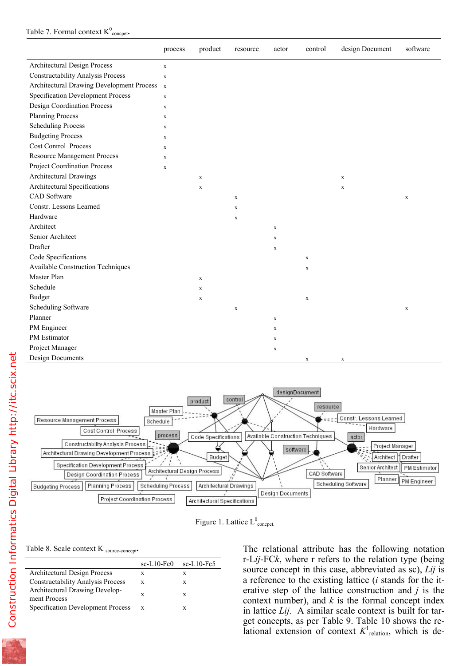|                                           | process      | product     | resource    | actor       | control     | design Document | software    |
|-------------------------------------------|--------------|-------------|-------------|-------------|-------------|-----------------|-------------|
| Architectural Design Process              | $\mathbf x$  |             |             |             |             |                 |             |
| <b>Constructability Analysis Process</b>  | $\mathbf X$  |             |             |             |             |                 |             |
| Architectural Drawing Development Process | $\mathbf{x}$ |             |             |             |             |                 |             |
| Specification Development Process         | $\mathbf X$  |             |             |             |             |                 |             |
| <b>Design Coordination Process</b>        | $\mathbf x$  |             |             |             |             |                 |             |
| <b>Planning Process</b>                   | $\mathbf X$  |             |             |             |             |                 |             |
| <b>Scheduling Process</b>                 | $\mathbf X$  |             |             |             |             |                 |             |
| <b>Budgeting Process</b>                  | $\mathbf X$  |             |             |             |             |                 |             |
| <b>Cost Control Process</b>               | $\mathbf X$  |             |             |             |             |                 |             |
| <b>Resource Management Process</b>        | $\mathbf X$  |             |             |             |             |                 |             |
| <b>Project Coordination Process</b>       | $\mathbf X$  |             |             |             |             |                 |             |
| Architectural Drawings                    |              | $\mathbf x$ |             |             |             | $\mathbf x$     |             |
| Architectural Specifications              |              | $\mathbf x$ |             |             |             | $\mathbf X$     |             |
| <b>CAD</b> Software                       |              |             | $\mathbf x$ |             |             |                 | $\mathbf x$ |
| Constr. Lessons Learned                   |              |             | $\mathbf x$ |             |             |                 |             |
| Hardware                                  |              |             | $\mathbf x$ |             |             |                 |             |
| Architect                                 |              |             |             | $\mathbf x$ |             |                 |             |
| Senior Architect                          |              |             |             | $\mathbf X$ |             |                 |             |
| Drafter                                   |              |             |             | $\mathbf x$ |             |                 |             |
| Code Specifications                       |              |             |             |             | $\mathbf x$ |                 |             |
| <b>Available Construction Techniques</b>  |              |             |             |             | $\mathbf x$ |                 |             |
| Master Plan                               |              | $\mathbf X$ |             |             |             |                 |             |
| Schedule                                  |              | $\mathbf x$ |             |             |             |                 |             |
| <b>Budget</b>                             |              | $\mathbf x$ |             |             | $\mathbf x$ |                 |             |
| Scheduling Software                       |              |             | $\mathbf x$ |             |             |                 | $\mathbf x$ |
| Planner                                   |              |             |             | $\mathbf x$ |             |                 |             |
| PM Engineer                               |              |             |             | $\mathbf X$ |             |                 |             |
| PM Estimator                              |              |             |             | $\mathbf X$ |             |                 |             |
| Project Manager                           |              |             |             | $\mathbf X$ |             |                 |             |
| <b>Design Documents</b>                   |              |             |             |             | $\mathbf X$ | $\mathbf X$     |             |



Figure 1. Lattice  $L^0$ <sub>concpet.</sub>

Table 8. Scale context K source-concept**.**

| $sc-L10-Fc0$ | $sc-L10-Fc5$ |
|--------------|--------------|
| X            | x            |
| X            | x            |
| X            | X            |
| X            |              |
|              |              |

The relational attribute has the following notation r-L*ij*-FC*k*, where r refers to the relation type (being source concept in this case, abbreviated as sc), *Lij* is a reference to the existing lattice (*i* stands for the iterative step of the lattice construction and *j* is the context number), and  $k$  is the formal concept index in lattice *Lij*. A similar scale context is built for target concepts, as per Table 9. Table 10 shows the relational extension of context  $K<sup>1</sup>$ <sub>relation</sub>, which is de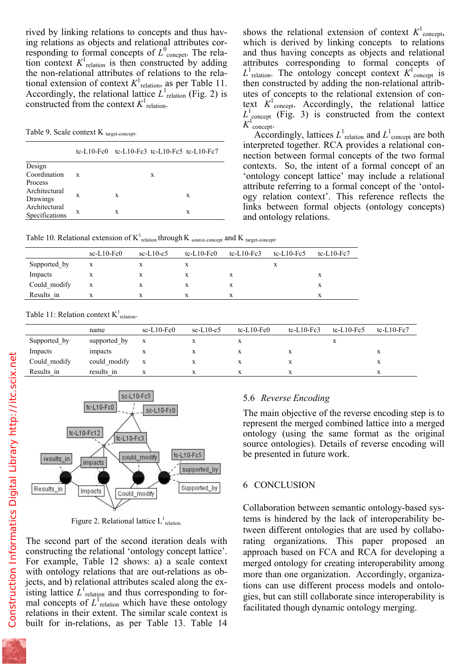ing relations as objects and relational attributes corresponding to formal concepts of  $L^0$ <sub>concpet</sub>. The relation context  $K^1$ <sub>relation</sub> is then constructed by adding the non-relational attributes of relations to the relational extension of context  $K^1$ <sub>relation</sub>, as per Table 11. Accordingly, the relational lattice  $L^1$ <sub>relation</sub> (Fig. 2) is constructed from the context  $K^1$ <sub>relation</sub>.

Table 9. Scale context  $K_{\text{target-concent}}$ .

|                | tc-L10-Fc0 tc-L10-Fc3 tc-L10-Fc5 tc-L10-Fc7 |   |   |   |
|----------------|---------------------------------------------|---|---|---|
| Design         |                                             |   |   |   |
| Coordination   | X                                           |   | X |   |
| Process        |                                             |   |   |   |
| Architectural  | X                                           | X |   | X |
| Drawings       |                                             |   |   |   |
| Architectural  | X                                           | x |   | X |
| Specifications |                                             |   |   |   |

which is derived by linking concepts to relations and thus having concepts as objects and relational attributes corresponding to formal concepts of  $L^1$ <sub>relation</sub>. The ontology concept context  $K^1$ <sup>1</sup> concept is then constructed by adding the non-relational attributes of concepts to the relational extension of context  $K^1$ <sub>concept</sub>. Accordingly, the relational lattice  $L^1_{\text{concept}}$  (Fig. 3) is constructed from the context  $K^1$  concept.

Accordingly, lattices  $L^1$ <sub>relation</sub> and  $L^1$ <sub>concept</sub> are both interpreted together. RCA provides a relational connection between formal concepts of the two formal contexts. So, the intent of a formal concept of an 'ontology concept lattice' may include a relational attribute referring to a formal concept of the 'ontology relation context'. This reference reflects the links between formal objects (ontology concepts) and ontology relations.

Table 10. Relational extension of  $K_{\text{relation}}^1$  through K <sub>source-concept</sub> and K <sub>target-concept</sub>.

|              | $sc-L10-Fc0$ | $sc-L10-c5$ | tc-L10- $Fe0$ | tc-L10- $Fc3$ | tc-L10- $Fc5$ | tc-L10- $Fc7$ |
|--------------|--------------|-------------|---------------|---------------|---------------|---------------|
| Supported by | X            |             |               |               | л             |               |
| Impacts      | X            | X           |               |               |               | x             |
| Could modify | X            | X           |               |               |               | X             |
| Results in   |              |             |               |               |               |               |

Table 11: Relation context  $K_{\text{relation}}^1$ .

|              | name         | $sc-L10-Fc0$ | $sc-L10-c5$ | $tc-L10-Fc0$ | tc-L10- $Fc3$ | tc-L10- $Fc5$ | tc-L10- $Fc7$ |
|--------------|--------------|--------------|-------------|--------------|---------------|---------------|---------------|
| Supported by | supported by | $\mathbf{X}$ |             |              |               |               |               |
| Impacts      | impacts      | л            | X           |              | X             |               | л             |
| Could modify | could modify | $\mathbf{X}$ |             |              | X             |               | л             |
| Results in   | results in   |              | X.          |              | x             |               |               |



Figure 2. Relational lattice  $L^1$ <sub>relation.</sub>

The second part of the second iteration deals with constructing the relational 'ontology concept lattice'. For example, Table 12 shows: a) a scale context with ontology relations that are out-relations as objects, and b) relational attributes scaled along the existing lattice  $L^1$ <sub>relation</sub> and thus corresponding to formal concepts of  $L^1$ <sub>relation</sub> which have these ontology relations in their extent. The similar scale context is built for in-relations, as per Table 13. Table 14

# 5.6 *Reverse Encoding*

The main objective of the reverse encoding step is to represent the merged combined lattice into a merged ontology (using the same format as the original source ontologies). Details of reverse encoding will be presented in future work.

## 6 CONCLUSION

Collaboration between semantic ontology-based systems is hindered by the lack of interoperability between different ontologies that are used by collaborating organizations. This paper proposed an approach based on FCA and RCA for developing a merged ontology for creating interoperability among more than one organization. Accordingly, organizations can use different process models and ontologies, but can still collaborate since interoperability is facilitated though dynamic ontology merging.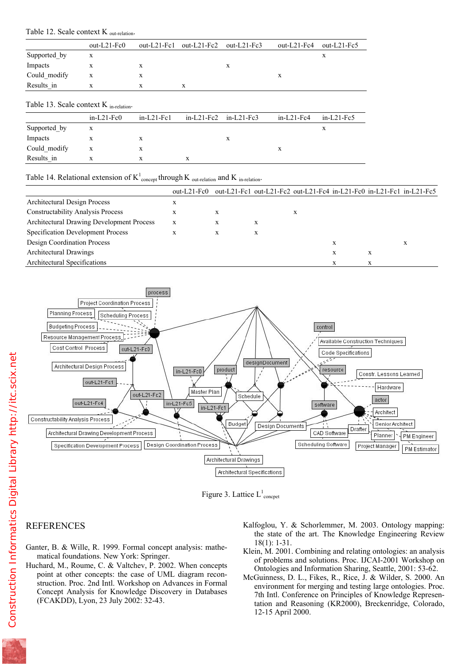|                                                    | $out-L21-Fc0$ | out- $L21$ -Fc1 | out- $L21$ -Fc2 | out- $L21$ -Fc3 | out- $L21$ -Fc4 | out- $L21$ -Fc5 |
|----------------------------------------------------|---------------|-----------------|-----------------|-----------------|-----------------|-----------------|
| Supported by                                       | X             |                 |                 |                 |                 | X               |
| Impacts                                            | X             | X               |                 | X               |                 |                 |
| Could modify                                       | X             | X               |                 |                 | X               |                 |
| Results in                                         | X             | X               | X               |                 |                 |                 |
| Table 13. Scale context $K_{\text{in-relation}}$ . |               |                 |                 |                 |                 |                 |
|                                                    | $in-L21-Fc0$  | $in-L21-Fc1$    | $in-L21-Fc2$    | $in-L21-Fc3$    | $in-L21-Fc4$    | $in-L21-Fc5$    |
| Supported by                                       | X             |                 |                 |                 |                 | X               |
| Impacts                                            | X             | X               |                 | X               |                 |                 |
| Could modify                                       | X             | X               |                 |                 | X               |                 |

## Table 14. Relational extension of  $K_{\text{concept}}^1$  through K <sub>out-relation</sub> and K <sub>in-relation</sub>.

Results in x x x x x

|                                                  | out-L21- $Fc0$ |   |   | out-L21-Fc1 out-L21-Fc2 out-L21-Fc4 in-L21-Fc0 in-L21-Fc1 in-L21-Fc5 |   |   |   |
|--------------------------------------------------|----------------|---|---|----------------------------------------------------------------------|---|---|---|
| Architectural Design Process                     | х              |   |   |                                                                      |   |   |   |
| <b>Constructability Analysis Process</b>         | X              | X |   |                                                                      |   |   |   |
| <b>Architectural Drawing Development Process</b> | X              | X | X |                                                                      |   |   |   |
| Specification Development Process                | X              | X | X |                                                                      |   |   |   |
| Design Coordination Process                      |                |   |   |                                                                      | X |   | x |
| Architectural Drawings                           |                |   |   |                                                                      | X | X |   |
| Architectural Specifications                     |                |   |   |                                                                      |   | x |   |





## REFERENCES

- Ganter, B. & Wille, R. 1999. Formal concept analysis: mathematical foundations. New York: Springer.
- Huchard, M., Roume, C. & Valtchev, P. 2002. When concepts point at other concepts: the case of UML diagram reconstruction. Proc. 2nd Intl. Workshop on Advances in Formal Concept Analysis for Knowledge Discovery in Databases (FCAKDD), Lyon, 23 July 2002: 32-43.
- Kalfoglou, Y. & Schorlemmer, M. 2003. Ontology mapping: the state of the art. The Knowledge Engineering Review 18(1): 1-31.
- Klein, M. 2001. Combining and relating ontologies: an analysis of problems and solutions. Proc. IJCAI-2001 Workshop on Ontologies and Information Sharing, Seattle, 2001: 53-62.
- McGuinness, D. L., Fikes, R., Rice, J. & Wilder, S. 2000. An environment for merging and testing large ontologies. Proc. 7th Intl. Conference on Principles of Knowledge Representation and Reasoning (KR2000), Breckenridge, Colorado, 12-15 April 2000.